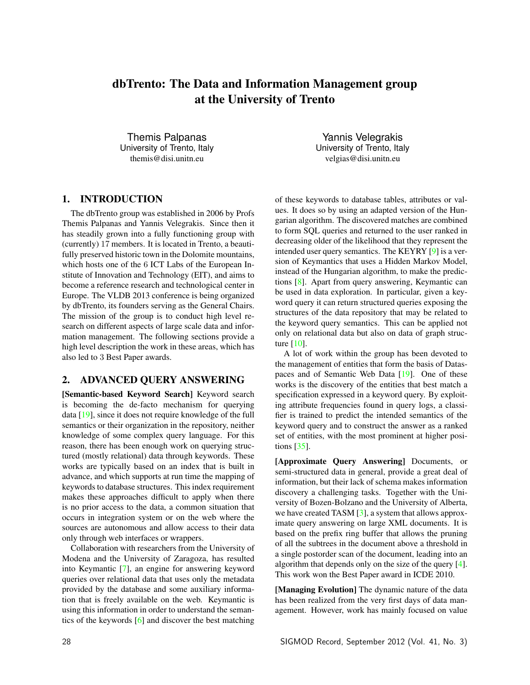# dbTrento: The Data and Information Management group at the University of Trento

Themis Palpanas University of Trento, Italy themis@disi.unitn.eu

Yannis Velegrakis University of Trento, Italy velgias@disi.unitn.eu

# 1. INTRODUCTION

The dbTrento group was established in 2006 by Profs Themis Palpanas and Yannis Velegrakis. Since then it has steadily grown into a fully functioning group with (currently) 17 members. It is located in Trento, a beautifully preserved historic town in the Dolomite mountains, which hosts one of the 6 ICT Labs of the European Institute of Innovation and Technology (EIT), and aims to become a reference research and technological center in Europe. The VLDB 2013 conference is being organized by dbTrento, its founders serving as the General Chairs. The mission of the group is to conduct high level research on different aspects of large scale data and information management. The following sections provide a high level description the work in these areas, which has also led to 3 Best Paper awards.

## 2. ADVANCED QUERY ANSWERING

[Semantic-based Keyword Search] Keyword search is becoming the de-facto mechanism for querying data [19], since it does not require knowledge of the full semantics or their organization in the repository, neither knowledge of some complex query language. For this reason, there has been enough work on querying structured (mostly relational) data through keywords. These works are typically based on an index that is built in advance, and which supports at run time the mapping of keywords to database structures. This index requirement makes these approaches difficult to apply when there is no prior access to the data, a common situation that occurs in integration system or on the web where the sources are autonomous and allow access to their data only through web interfaces or wrappers.

Collaboration with researchers from the University of Modena and the University of Zaragoza, has resulted into Keymantic [7], an engine for answering keyword queries over relational data that uses only the metadata provided by the database and some auxiliary information that is freely available on the web. Keymantic is using this information in order to understand the semantics of the keywords [6] and discover the best matching

of these keywords to database tables, attributes or values. It does so by using an adapted version of the Hungarian algorithm. The discovered matches are combined to form SQL queries and returned to the user ranked in decreasing older of the likelihood that they represent the intended user query semantics. The KEYRY [9] is a version of Keymantics that uses a Hidden Markov Model, instead of the Hungarian algorithm, to make the predictions [8]. Apart from query answering, Keymantic can be used in data exploration. In particular, given a keyword query it can return structured queries exposing the structures of the data repository that may be related to the keyword query semantics. This can be applied not only on relational data but also on data of graph structure [10].

A lot of work within the group has been devoted to the management of entities that form the basis of Dataspaces and of Semantic Web Data [19]. One of these works is the discovery of the entities that best match a specification expressed in a keyword query. By exploiting attribute frequencies found in query logs, a classifier is trained to predict the intended semantics of the keyword query and to construct the answer as a ranked set of entities, with the most prominent at higher positions [35].

[Approximate Query Answering] Documents, or semi-structured data in general, provide a great deal of information, but their lack of schema makes information discovery a challenging tasks. Together with the University of Bozen-Bolzano and the University of Alberta, we have created TASM  $[3]$ , a system that allows approximate query answering on large XML documents. It is based on the prefix ring buffer that allows the pruning of all the subtrees in the document above a threshold in a single postorder scan of the document, leading into an algorithm that depends only on the size of the query [4]. This work won the Best Paper award in ICDE 2010.

[Managing Evolution] The dynamic nature of the data has been realized from the very first days of data management. However, work has mainly focused on value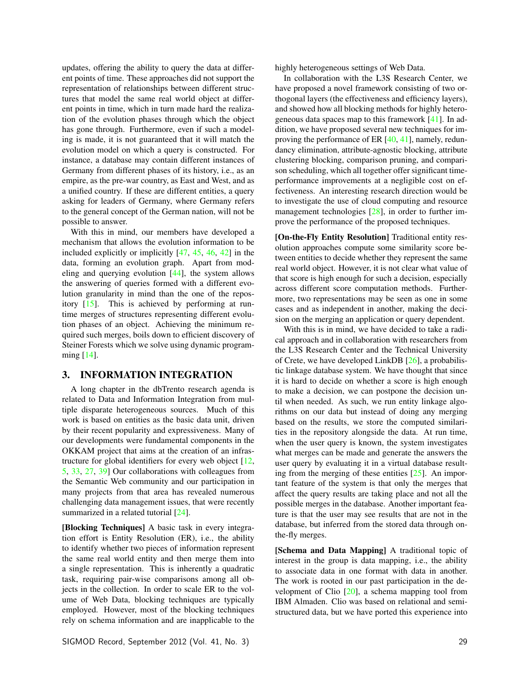updates, offering the ability to query the data at different points of time. These approaches did not support the representation of relationships between different structures that model the same real world object at different points in time, which in turn made hard the realization of the evolution phases through which the object has gone through. Furthermore, even if such a modeling is made, it is not guaranteed that it will match the evolution model on which a query is constructed. For instance, a database may contain different instances of Germany from different phases of its history, i.e., as an empire, as the pre-war country, as East and West, and as a unified country. If these are different entities, a query asking for leaders of Germany, where Germany refers to the general concept of the German nation, will not be possible to answer.

With this in mind, our members have developed a mechanism that allows the evolution information to be included explicitly or implicitly [47, 45, 46, 42] in the data, forming an evolution graph. Apart from modeling and querying evolution [44], the system allows the answering of queries formed with a different evolution granularity in mind than the one of the repository  $[15]$ . This is achieved by performing at runtime merges of structures representing different evolution phases of an object. Achieving the minimum required such merges, boils down to efficient discovery of Steiner Forests which we solve using dynamic programming [14].

#### 3. INFORMATION INTEGRATION

A long chapter in the dbTrento research agenda is related to Data and Information Integration from multiple disparate heterogeneous sources. Much of this work is based on entities as the basic data unit, driven by their recent popularity and expressiveness. Many of our developments were fundamental components in the OKKAM project that aims at the creation of an infrastructure for global identifiers for every web object [12, 5, 33, 27, 39] Our collaborations with colleagues from the Semantic Web community and our participation in many projects from that area has revealed numerous challenging data management issues, that were recently summarized in a related tutorial [24].

[Blocking Techniques] A basic task in every integration effort is Entity Resolution (ER), i.e., the ability to identify whether two pieces of information represent the same real world entity and then merge them into a single representation. This is inherently a quadratic task, requiring pair-wise comparisons among all objects in the collection. In order to scale ER to the volume of Web Data, blocking techniques are typically employed. However, most of the blocking techniques rely on schema information and are inapplicable to the

highly heterogeneous settings of Web Data.

In collaboration with the L3S Research Center, we have proposed a novel framework consisting of two orthogonal layers (the effectiveness and efficiency layers), and showed how all blocking methods for highly heterogeneous data spaces map to this framework [41]. In addition, we have proposed several new techniques for improving the performance of ER [40, 41], namely, redundancy elimination, attribute-agnostic blocking, attribute clustering blocking, comparison pruning, and comparison scheduling, which all together offer significant timeperformance improvements at a negligible cost on effectiveness. An interesting research direction would be to investigate the use of cloud computing and resource management technologies [28], in order to further improve the performance of the proposed techniques.

[On-the-Fly Entity Resolution] Traditional entity resolution approaches compute some similarity score between entities to decide whether they represent the same real world object. However, it is not clear what value of that score is high enough for such a decision, especially across different score computation methods. Furthermore, two representations may be seen as one in some cases and as independent in another, making the decision on the merging an application or query dependent.

With this is in mind, we have decided to take a radical approach and in collaboration with researchers from the L3S Research Center and the Technical University of Crete, we have developed LinkDB [26], a probabilistic linkage database system. We have thought that since it is hard to decide on whether a score is high enough to make a decision, we can postpone the decision until when needed. As such, we run entity linkage algorithms on our data but instead of doing any merging based on the results, we store the computed similarities in the repository alongside the data. At run time, when the user query is known, the system investigates what merges can be made and generate the answers the user query by evaluating it in a virtual database resulting from the merging of these entities  $[25]$ . An important feature of the system is that only the merges that affect the query results are taking place and not all the possible merges in the database. Another important feature is that the user may see results that are not in the database, but inferred from the stored data through onthe-fly merges.

[Schema and Data Mapping] A traditional topic of interest in the group is data mapping, i.e., the ability to associate data in one format with data in another. The work is rooted in our past participation in the development of Clio [20], a schema mapping tool from IBM Almaden. Clio was based on relational and semistructured data, but we have ported this experience into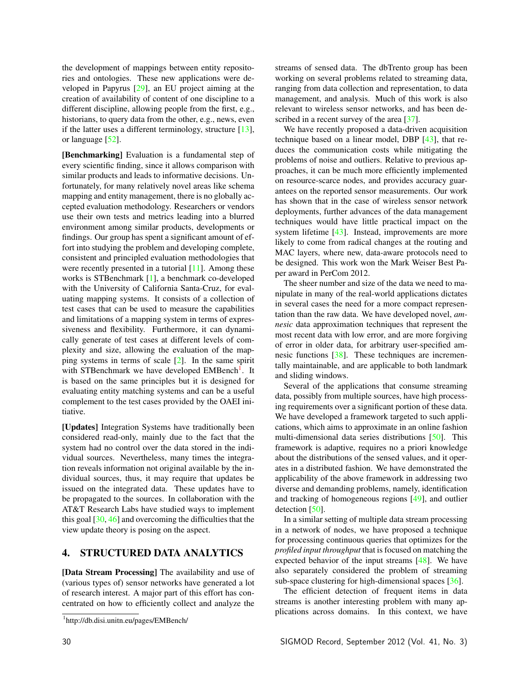the development of mappings between entity repositories and ontologies. These new applications were developed in Papyrus [29], an EU project aiming at the creation of availability of content of one discipline to a different discipline, allowing people from the first, e.g., historians, to query data from the other, e.g., news, even if the latter uses a different terminology, structure [13], or language [52].

[Benchmarking] Evaluation is a fundamental step of every scientific finding, since it allows comparison with similar products and leads to informative decisions. Unfortunately, for many relatively novel areas like schema mapping and entity management, there is no globally accepted evaluation methodology. Researchers or vendors use their own tests and metrics leading into a blurred environment among similar products, developments or findings. Our group has spent a significant amount of effort into studying the problem and developing complete, consistent and principled evaluation methodologies that were recently presented in a tutorial  $[11]$ . Among these works is STBenchmark [1], a benchmark co-developed with the University of California Santa-Cruz, for evaluating mapping systems. It consists of a collection of test cases that can be used to measure the capabilities and limitations of a mapping system in terms of expressiveness and flexibility. Furthermore, it can dynamically generate of test cases at different levels of complexity and size, allowing the evaluation of the mapping systems in terms of scale [2]. In the same spirit with STBenchmark we have developed EMBench<sup>1</sup>. It is based on the same principles but it is designed for evaluating entity matching systems and can be a useful complement to the test cases provided by the OAEI initiative.

[Updates] Integration Systems have traditionally been considered read-only, mainly due to the fact that the system had no control over the data stored in the individual sources. Nevertheless, many times the integration reveals information not original available by the individual sources, thus, it may require that updates be issued on the integrated data. These updates have to be propagated to the sources. In collaboration with the AT&T Research Labs have studied ways to implement this goal [30, 46] and overcoming the difficulties that the view update theory is posing on the aspect.

## 4. STRUCTURED DATA ANALYTICS

[Data Stream Processing] The availability and use of (various types of) sensor networks have generated a lot of research interest. A major part of this effort has concentrated on how to efficiently collect and analyze the

We have recently proposed a data-driven acquisition technique based on a linear model, DBP [43], that reduces the communication costs while mitigating the problems of noise and outliers. Relative to previous approaches, it can be much more efficiently implemented on resource-scarce nodes, and provides accuracy guarantees on the reported sensor measurements. Our work has shown that in the case of wireless sensor network deployments, further advances of the data management techniques would have little practical impact on the system lifetime [43]. Instead, improvements are more likely to come from radical changes at the routing and MAC layers, where new, data-aware protocols need to be designed. This work won the Mark Weiser Best Paper award in PerCom 2012.

The sheer number and size of the data we need to manipulate in many of the real-world applications dictates in several cases the need for a more compact representation than the raw data. We have developed novel, *amnesic* data approximation techniques that represent the most recent data with low error, and are more forgiving of error in older data, for arbitrary user-specified amnesic functions [38]. These techniques are incrementally maintainable, and are applicable to both landmark and sliding windows.

Several of the applications that consume streaming data, possibly from multiple sources, have high processing requirements over a significant portion of these data. We have developed a framework targeted to such applications, which aims to approximate in an online fashion multi-dimensional data series distributions [50]. This framework is adaptive, requires no a priori knowledge about the distributions of the sensed values, and it operates in a distributed fashion. We have demonstrated the applicability of the above framework in addressing two diverse and demanding problems, namely, identification and tracking of homogeneous regions [49], and outlier detection [50].

In a similar setting of multiple data stream processing in a network of nodes, we have proposed a technique for processing continuous queries that optimizes for the *profiled input throughput* that is focused on matching the expected behavior of the input streams [48]. We have also separately considered the problem of streaming sub-space clustering for high-dimensional spaces [36].

The efficient detection of frequent items in data streams is another interesting problem with many applications across domains. In this context, we have

<sup>1</sup> http://db.disi.unitn.eu/pages/EMBench/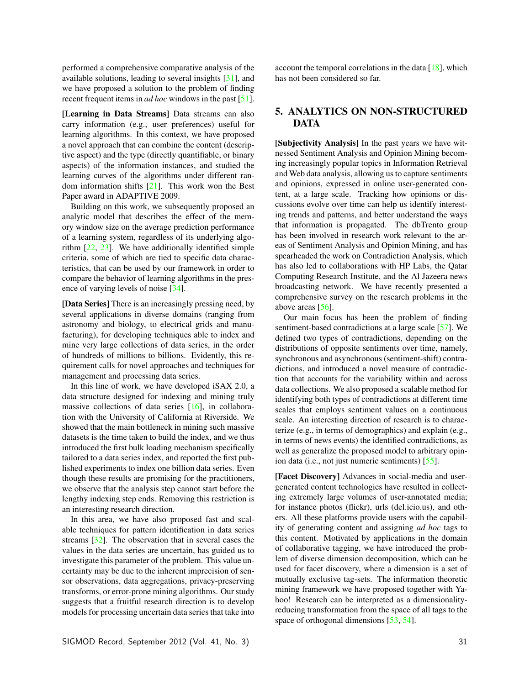performed a comprehensive comparative analysis of the available solutions, leading to several insights [31], and we have proposed a solution to the problem of finding recent frequent items in *ad hoc* windows in the past [51].

[Learning in Data Streams] Data streams can also carry information (e.g., user preferences) useful for learning algorithms. In this context, we have proposed a novel approach that can combine the content (descriptive aspect) and the type (directly quantifiable, or binary aspects) of the information instances, and studied the learning curves of the algorithms under different random information shifts [21]. This work won the Best Paper award in ADAPTIVE 2009.

Building on this work, we subsequently proposed an analytic model that describes the effect of the memory window size on the average prediction performance of a learning system, regardless of its underlying algorithm [22, 23]. We have additionally identified simple criteria, some of which are tied to specific data characteristics, that can be used by our framework in order to compare the behavior of learning algorithms in the presence of varying levels of noise [34].

[Data Series] There is an increasingly pressing need, by several applications in diverse domains (ranging from astronomy and biology, to electrical grids and manufacturing), for developing techniques able to index and mine very large collections of data series, in the order of hundreds of millions to billions. Evidently, this requirement calls for novel approaches and techniques for management and processing data series.

In this line of work, we have developed iSAX 2.0, a data structure designed for indexing and mining truly massive collections of data series [16], in collaboration with the University of California at Riverside. We showed that the main bottleneck in mining such massive datasets is the time taken to build the index, and we thus introduced the first bulk loading mechanism specifically tailored to a data series index, and reported the first published experiments to index one billion data series. Even though these results are promising for the practitioners, we observe that the analysis step cannot start before the lengthy indexing step ends. Removing this restriction is an interesting research direction.

In this area, we have also proposed fast and scalable techniques for pattern identification in data series streams [32]. The observation that in several cases the values in the data series are uncertain, has guided us to investigate this parameter of the problem. This value uncertainty may be due to the inherent imprecision of sensor observations, data aggregations, privacy-preserving transforms, or error-prone mining algorithms. Our study suggests that a fruitful research direction is to develop models for processing uncertain data series that take into

account the temporal correlations in the data  $[18]$ , which has not been considered so far.

# 5. ANALYTICS ON NON-STRUCTURED DATA

[Subjectivity Analysis] In the past years we have witnessed Sentiment Analysis and Opinion Mining becoming increasingly popular topics in Information Retrieval and Web data analysis, allowing us to capture sentiments and opinions, expressed in online user-generated content, at a large scale. Tracking how opinions or discussions evolve over time can help us identify interesting trends and patterns, and better understand the ways that information is propagated. The dbTrento group has been involved in research work relevant to the areas of Sentiment Analysis and Opinion Mining, and has spearheaded the work on Contradiction Analysis, which has also led to collaborations with HP Labs, the Qatar Computing Research Institute, and the Al Jazeera news broadcasting network. We have recently presented a comprehensive survey on the research problems in the above areas  $[56]$ .

Our main focus has been the problem of finding sentiment-based contradictions at a large scale [57]. We defined two types of contradictions, depending on the distributions of opposite sentiments over time, namely, synchronous and asynchronous (sentiment-shift) contradictions, and introduced a novel measure of contradiction that accounts for the variability within and across data collections. We also proposed a scalable method for identifying both types of contradictions at different time scales that employs sentiment values on a continuous scale. An interesting direction of research is to characterize (e.g., in terms of demographics) and explain (e.g., in terms of news events) the identified contradictions, as well as generalize the proposed model to arbitrary opinion data (i.e., not just numeric sentiments) [55].

[Facet Discovery] Advances in social-media and usergenerated content technologies have resulted in collecting extremely large volumes of user-annotated media; for instance photos (flickr), urls (del.icio.us), and others. All these platforms provide users with the capability of generating content and assigning *ad hoc* tags to this content. Motivated by applications in the domain of collaborative tagging, we have introduced the problem of diverse dimension decomposition, which can be used for facet discovery, where a dimension is a set of mutually exclusive tag-sets. The information theoretic mining framework we have proposed together with Yahoo! Research can be interpreted as a dimensionalityreducing transformation from the space of all tags to the space of orthogonal dimensions [53, 54].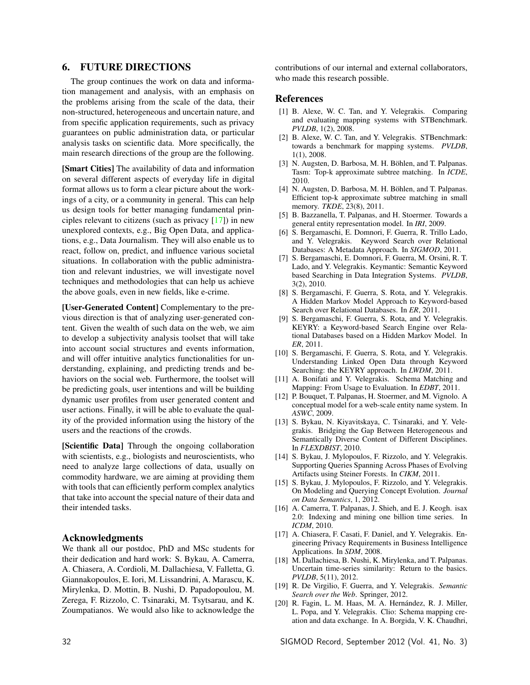#### 6. FUTURE DIRECTIONS

The group continues the work on data and information management and analysis, with an emphasis on the problems arising from the scale of the data, their non-structured, heterogeneous and uncertain nature, and from specific application requirements, such as privacy guarantees on public administration data, or particular analysis tasks on scientific data. More specifically, the main research directions of the group are the following.

[Smart Cities] The availability of data and information on several different aspects of everyday life in digital format allows us to form a clear picture about the workings of a city, or a community in general. This can help us design tools for better managing fundamental principles relevant to citizens (such as privacy  $[17]$ ) in new unexplored contexts, e.g., Big Open Data, and applications, e.g., Data Journalism. They will also enable us to react, follow on, predict, and influence various societal situations. In collaboration with the public administration and relevant industries, we will investigate novel techniques and methodologies that can help us achieve the above goals, even in new fields, like e-crime.

[User-Generated Content] Complementary to the previous direction is that of analyzing user-generated content. Given the wealth of such data on the web, we aim to develop a subjectivity analysis toolset that will take into account social structures and events information, and will offer intuitive analytics functionalities for understanding, explaining, and predicting trends and behaviors on the social web. Furthermore, the toolset will be predicting goals, user intentions and will be building dynamic user profiles from user generated content and user actions. Finally, it will be able to evaluate the quality of the provided information using the history of the users and the reactions of the crowds.

[Scientific Data] Through the ongoing collaboration with scientists, e.g., biologists and neuroscientists, who need to analyze large collections of data, usually on commodity hardware, we are aiming at providing them with tools that can efficiently perform complex analytics that take into account the special nature of their data and their intended tasks.

#### Acknowledgments

We thank all our postdoc, PhD and MSc students for their dedication and hard work: S. Bykau, A. Camerra, A. Chiasera, A. Cordioli, M. Dallachiesa, V. Falletta, G. Giannakopoulos, E. Iori, M. Lissandrini, A. Marascu, K. Mirylenka, D. Mottin, B. Nushi, D. Papadopoulou, M. Zerega, F. Rizzolo, C. Tsinaraki, M. Tsytsarau, and K. Zoumpatianos. We would also like to acknowledge the

contributions of our internal and external collaborators, who made this research possible.

#### **References**

- [1] B. Alexe, W. C. Tan, and Y. Velegrakis. Comparing and evaluating mapping systems with STBenchmark. *PVLDB*, 1(2), 2008.
- [2] B. Alexe, W. C. Tan, and Y. Velegrakis. STBenchmark: towards a benchmark for mapping systems. *PVLDB*, 1(1), 2008.
- [3] N. Augsten, D. Barbosa, M. H. Böhlen, and T. Palpanas. Tasm: Top-k approximate subtree matching. In *ICDE*, 2010.
- [4] N. Augsten, D. Barbosa, M. H. Böhlen, and T. Palpanas. Efficient top-k approximate subtree matching in small memory. *TKDE*, 23(8), 2011.
- [5] B. Bazzanella, T. Palpanas, and H. Stoermer. Towards a general entity representation model. In *IRI*, 2009.
- [6] S. Bergamaschi, E. Domnori, F. Guerra, R. Trillo Lado, and Y. Velegrakis. Keyword Search over Relational Databases: A Metadata Approach. In *SIGMOD*, 2011.
- [7] S. Bergamaschi, E. Domnori, F. Guerra, M. Orsini, R. T. Lado, and Y. Velegrakis. Keymantic: Semantic Keyword based Searching in Data Integration Systems. *PVLDB*, 3(2), 2010.
- [8] S. Bergamaschi, F. Guerra, S. Rota, and Y. Velegrakis. A Hidden Markov Model Approach to Keyword-based Search over Relational Databases. In *ER*, 2011.
- [9] S. Bergamaschi, F. Guerra, S. Rota, and Y. Velegrakis. KEYRY: a Keyword-based Search Engine over Relational Databases based on a Hidden Markov Model. In *ER*, 2011.
- [10] S. Bergamaschi, F. Guerra, S. Rota, and Y. Velegrakis. Understanding Linked Open Data through Keyword Searching: the KEYRY approach. In *LWDM*, 2011.
- [11] A. Bonifati and Y. Velegrakis. Schema Matching and Mapping: From Usage to Evaluation. In *EDBT*, 2011.
- [12] P. Bouquet, T. Palpanas, H. Stoermer, and M. Vignolo. A conceptual model for a web-scale entity name system. In *ASWC*, 2009.
- [13] S. Bykau, N. Kiyavitskaya, C. Tsinaraki, and Y. Velegrakis. Bridging the Gap Between Heterogeneous and Semantically Diverse Content of Different Disciplines. In *FLEXDBIST*, 2010.
- [14] S. Bykau, J. Mylopoulos, F. Rizzolo, and Y. Velegrakis. Supporting Queries Spanning Across Phases of Evolving Artifacts using Steiner Forests. In *CIKM*, 2011.
- [15] S. Bykau, J. Mylopoulos, F. Rizzolo, and Y. Velegrakis. On Modeling and Querying Concept Evolution. *Journal on Data Semantics*, 1, 2012.
- [16] A. Camerra, T. Palpanas, J. Shieh, and E. J. Keogh. isax 2.0: Indexing and mining one billion time series. In *ICDM*, 2010.
- [17] A. Chiasera, F. Casati, F. Daniel, and Y. Velegrakis. Engineering Privacy Requirements in Business Intelligence Applications. In *SDM*, 2008.
- [18] M. Dallachiesa, B. Nushi, K. Mirylenka, and T. Palpanas. Uncertain time-series similarity: Return to the basics. *PVLDB*, 5(11), 2012.
- [19] R. De Virgilio, F. Guerra, and Y. Velegrakis. *Semantic Search over the Web*. Springer, 2012.
- [20] R. Fagin, L. M. Haas, M. A. Hernández, R. J. Miller, L. Popa, and Y. Velegrakis. Clio: Schema mapping creation and data exchange. In A. Borgida, V. K. Chaudhri,

32 SIGMOD Record, September 2012 (Vol. 41, No. 3)